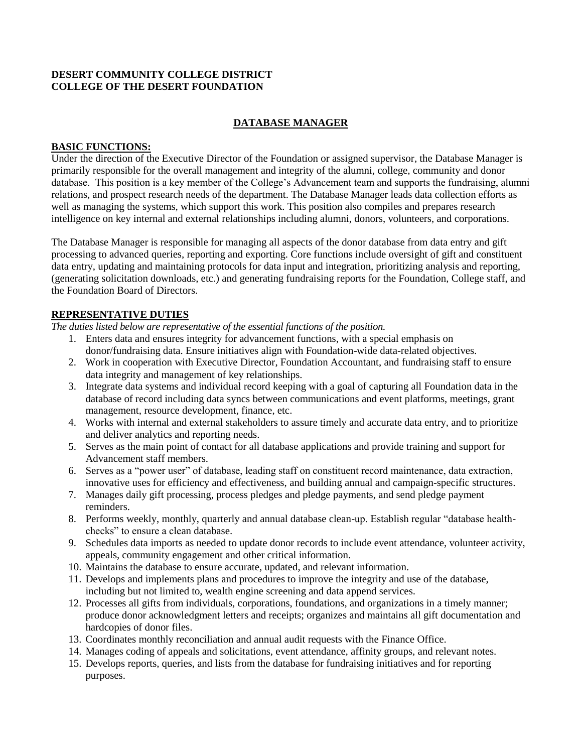### **DESERT COMMUNITY COLLEGE DISTRICT COLLEGE OF THE DESERT FOUNDATION**

# **DATABASE MANAGER**

#### **BASIC FUNCTIONS:**

Under the direction of the Executive Director of the Foundation or assigned supervisor, the Database Manager is primarily responsible for the overall management and integrity of the alumni, college, community and donor database. This position is a key member of the College's Advancement team and supports the fundraising, alumni relations, and prospect research needs of the department. The Database Manager leads data collection efforts as well as managing the systems, which support this work. This position also compiles and prepares research intelligence on key internal and external relationships including alumni, donors, volunteers, and corporations.

The Database Manager is responsible for managing all aspects of the donor database from data entry and gift processing to advanced queries, reporting and exporting. Core functions include oversight of gift and constituent data entry, updating and maintaining protocols for data input and integration, prioritizing analysis and reporting, (generating solicitation downloads, etc.) and generating fundraising reports for the Foundation, College staff, and the Foundation Board of Directors.

### **REPRESENTATIVE DUTIES**

*The duties listed below are representative of the essential functions of the position.*

- 1. Enters data and ensures integrity for advancement functions, with a special emphasis on donor/fundraising data. Ensure initiatives align with Foundation-wide data-related objectives.
- 2. Work in cooperation with Executive Director, Foundation Accountant, and fundraising staff to ensure data integrity and management of key relationships.
- 3. Integrate data systems and individual record keeping with a goal of capturing all Foundation data in the database of record including data syncs between communications and event platforms, meetings, grant management, resource development, finance, etc.
- 4. Works with internal and external stakeholders to assure timely and accurate data entry, and to prioritize and deliver analytics and reporting needs.
- 5. Serves as the main point of contact for all database applications and provide training and support for Advancement staff members.
- 6. Serves as a "power user" of database, leading staff on constituent record maintenance, data extraction, innovative uses for efficiency and effectiveness, and building annual and campaign-specific structures.
- 7. Manages daily gift processing, process pledges and pledge payments, and send pledge payment reminders.
- 8. Performs weekly, monthly, quarterly and annual database clean-up. Establish regular "database healthchecks" to ensure a clean database.
- 9. Schedules data imports as needed to update donor records to include event attendance, volunteer activity, appeals, community engagement and other critical information.
- 10. Maintains the database to ensure accurate, updated, and relevant information.
- 11. Develops and implements plans and procedures to improve the integrity and use of the database, including but not limited to, wealth engine screening and data append services.
- 12. Processes all gifts from individuals, corporations, foundations, and organizations in a timely manner; produce donor acknowledgment letters and receipts; organizes and maintains all gift documentation and hardcopies of donor files.
- 13. Coordinates monthly reconciliation and annual audit requests with the Finance Office.
- 14. Manages coding of appeals and solicitations, event attendance, affinity groups, and relevant notes.
- 15. Develops reports, queries, and lists from the database for fundraising initiatives and for reporting purposes.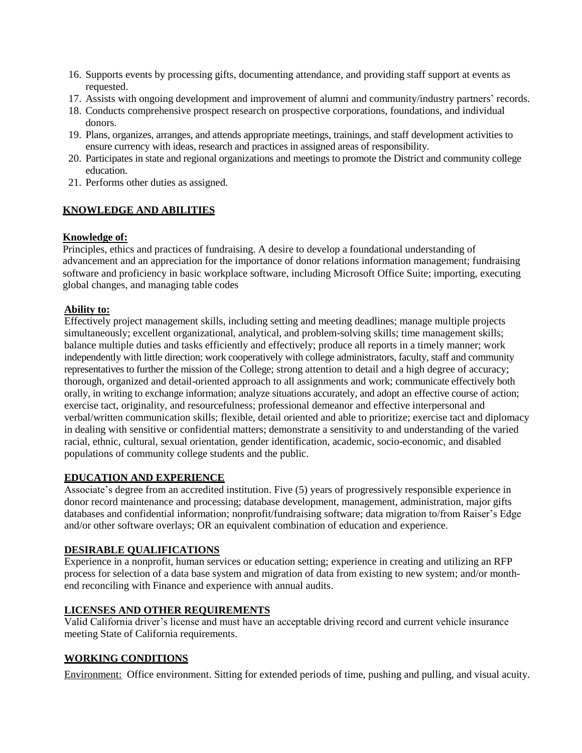- 16. Supports events by processing gifts, documenting attendance, and providing staff support at events as requested.
- 17. Assists with ongoing development and improvement of alumni and community/industry partners' records.
- 18. Conducts comprehensive prospect research on prospective corporations, foundations, and individual donors.
- 19. Plans, organizes, arranges, and attends appropriate meetings, trainings, and staff development activities to ensure currency with ideas, research and practices in assigned areas of responsibility.
- 20. Participates in state and regional organizations and meetings to promote the District and community college education.
- 21. Performs other duties as assigned.

## **KNOWLEDGE AND ABILITIES**

### **Knowledge of:**

Principles, ethics and practices of fundraising. A desire to develop a foundational understanding of advancement and an appreciation for the importance of donor relations information management; fundraising software and proficiency in basic workplace software, including Microsoft Office Suite; importing, executing global changes, and managing table codes

### **Ability to:**

Effectively project management skills, including setting and meeting deadlines; manage multiple projects simultaneously; excellent organizational, analytical, and problem-solving skills; time management skills; balance multiple duties and tasks efficiently and effectively; produce all reports in a timely manner; work independently with little direction; work cooperatively with college administrators, faculty, staff and community representatives to further the mission of the College; strong attention to detail and a high degree of accuracy; thorough, organized and detail-oriented approach to all assignments and work; communicate effectively both orally, in writing to exchange information; analyze situations accurately, and adopt an effective course of action; exercise tact, originality, and resourcefulness; professional demeanor and effective interpersonal and verbal/written communication skills; flexible, detail oriented and able to prioritize; exercise tact and diplomacy in dealing with sensitive or confidential matters; demonstrate a sensitivity to and understanding of the varied racial, ethnic, cultural, sexual orientation, gender identification, academic, socio-economic, and disabled populations of community college students and the public.

## **EDUCATION AND EXPERIENCE**

Associate's degree from an accredited institution. Five (5) years of progressively responsible experience in donor record maintenance and processing; database development, management, administration, major gifts databases and confidential information; nonprofit/fundraising software; data migration to/from Raiser's Edge and/or other software overlays; OR an equivalent combination of education and experience.

## **DESIRABLE QUALIFICATIONS**

Experience in a nonprofit, human services or education setting; experience in creating and utilizing an RFP process for selection of a data base system and migration of data from existing to new system; and/or monthend reconciling with Finance and experience with annual audits.

## **LICENSES AND OTHER REQUIREMENTS**

Valid California driver's license and must have an acceptable driving record and current vehicle insurance meeting State of California requirements.

## **WORKING CONDITIONS**

Environment: Office environment. Sitting for extended periods of time, pushing and pulling, and visual acuity.